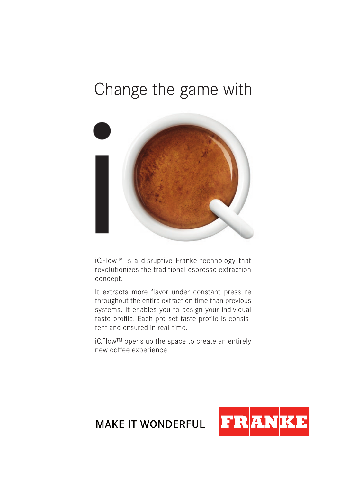## Change the game with



iQFlow™ is a disruptive Franke technology that revolutionizes the traditional espresso extraction concept.

It extracts more flavor under constant pressure throughout the entire extraction time than previous systems. It enables you to design your individual taste profile. Each pre-set taste profile is consistent and ensured in real-time.

iQFlow™ opens up the space to create an entirely new coffee experience.



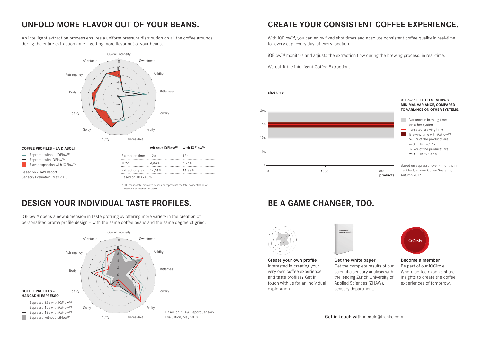An intelligent extraction process ensures a uniform pressure distribution on all the coffee grounds during the entire extraction time - getting more flavor out of your beans.



#### **COFFEE PROFILES – LA DIABOLI**

- 
- Espresso with iQFlow™
- Flavor expansion with iQFlow™ **Contract**

Based on ZHAW Report Sensory Evaluation, May 2018

|                         | without iQFlow™ | with iQFlow™ |
|-------------------------|-----------------|--------------|
| <b>Extraction time</b>  | 12s             | 12s          |
| TDS*                    | 3.63%           | 3.76%        |
| Extraction yield 14,14% |                 | 14.38%       |

\* TDS means total dissolved solids and represents the total concentration of dissolved substances in water.

### **DESIGN YOUR INDIVIDUAL TASTE PROFILES. BE A GAME CHANGER, TOO.**

iQFlow™ opens a new dimension in taste profiling by offering more variety in the creation of personalized aroma profile design - with the same coffee beans and the same degree of grind.



#### **UNFOLD MORE FLAVOR OUT OF YOUR BEANS. CREATE YOUR CONSISTENT COFFEE EXPERIENCE.**

With iQFlow™, you can enjoy fixed shot times and absolute consistent coffee quality in real-time for every cup, every day, at every location.

 $i$ QFlow™ monitors and adjusts the extraction flow during the brewing process, in real-time.

We call it the intelligent Coffee Extraction.





Create your own profile Interested in creating your very own coffee experience and taste profiles? Get in touch with us for an individual exploration.



ZHAW Report

Get the white paper Get the complete results of our scientific sensory analysis with the leading Zurich University of Applied Sciences (ZHAW), sensory department.



Become a member Be part of our iQCircle: Where coffee experts share insights to create the coffee experiences of tomorrow.